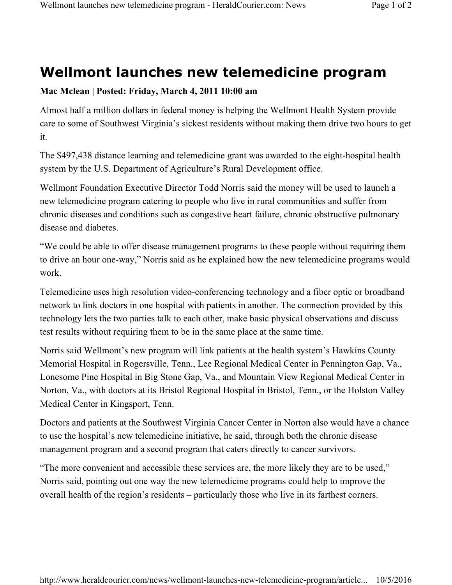## **Wellmont launches new telemedicine program**

## **Mac Mclean | Posted: Friday, March 4, 2011 10:00 am**

Almost half a million dollars in federal money is helping the Wellmont Health System provide care to some of Southwest Virginia's sickest residents without making them drive two hours to get it.

The \$497,438 distance learning and telemedicine grant was awarded to the eight-hospital health system by the U.S. Department of Agriculture's Rural Development office.

Wellmont Foundation Executive Director Todd Norris said the money will be used to launch a new telemedicine program catering to people who live in rural communities and suffer from chronic diseases and conditions such as congestive heart failure, chronic obstructive pulmonary disease and diabetes.

"We could be able to offer disease management programs to these people without requiring them to drive an hour one-way," Norris said as he explained how the new telemedicine programs would work.

Telemedicine uses high resolution video-conferencing technology and a fiber optic or broadband network to link doctors in one hospital with patients in another. The connection provided by this technology lets the two parties talk to each other, make basic physical observations and discuss test results without requiring them to be in the same place at the same time.

Norris said Wellmont's new program will link patients at the health system's Hawkins County Memorial Hospital in Rogersville, Tenn., Lee Regional Medical Center in Pennington Gap, Va., Lonesome Pine Hospital in Big Stone Gap, Va., and Mountain View Regional Medical Center in Norton, Va., with doctors at its Bristol Regional Hospital in Bristol, Tenn., or the Holston Valley Medical Center in Kingsport, Tenn.

Doctors and patients at the Southwest Virginia Cancer Center in Norton also would have a chance to use the hospital's new telemedicine initiative, he said, through both the chronic disease management program and a second program that caters directly to cancer survivors.

"The more convenient and accessible these services are, the more likely they are to be used," Norris said, pointing out one way the new telemedicine programs could help to improve the overall health of the region's residents – particularly those who live in its farthest corners.